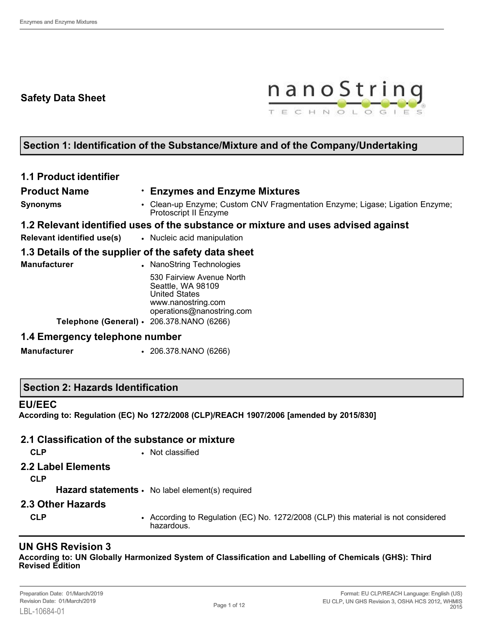# **Safety Data Sheet**



# **Section 1: Identification of the Substance/Mixture and of the Company/Undertaking**

## **1.1 Product identifier**

**Product Name** • **Enzymes and Enzyme Mixtures**

**Synonyms** • Clean-up Enzyme; Custom CNV Fragmentation Enzyme; Ligase; Ligation Enzyme; Protoscript II Enzyme

#### **1.2 Relevant identified uses of the substance or mixture and uses advised against**

- 
- **Relevant identified use(s)** Nucleic acid manipulation

## **1.3 Details of the supplier of the safety data sheet**

| Manufacturer |                                           | • NanoString Technologies                                                                                                 |
|--------------|-------------------------------------------|---------------------------------------------------------------------------------------------------------------------------|
|              | Telephone (General) · 206.378.NANO (6266) | 530 Fairview Avenue North<br>Seattle, WA 98109<br><b>United States</b><br>www.nanostring.com<br>operations@nanostring.com |
|              |                                           |                                                                                                                           |

## **1.4 Emergency telephone number**

**Manufacturer** • 206.378.NANO (6266)

## **Section 2: Hazards Identification**

#### **EU/EEC**

**According to: Regulation (EC) No 1272/2008 (CLP)/REACH 1907/2006 [amended by 2015/830]**

## **2.1 Classification of the substance or mixture**

**CLP** • Not classified

## **2.2 Label Elements**

**CLP**

**Hazard statements** • No label element(s) required

#### **2.3 Other Hazards**

- 
- **CLP** According to Regulation (EC) No. 1272/2008 (CLP) this material is not considered hazardous.

# **UN GHS Revision 3**

**According to: UN Globally Harmonized System of Classification and Labelling of Chemicals (GHS): Third Revised Edition**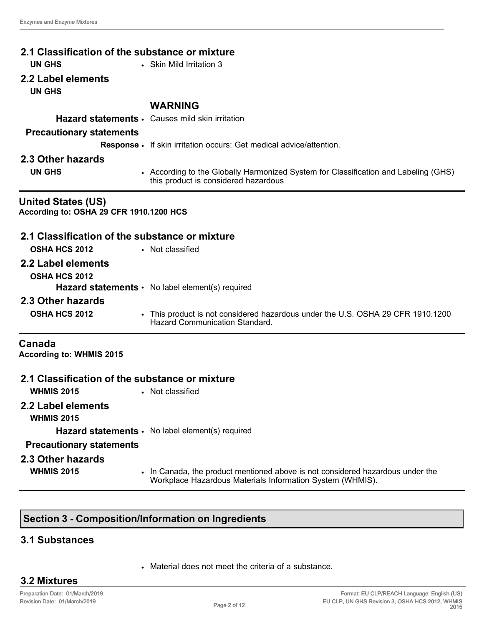| 2.1 Classification of the substance or mixture                       |                                                                                                                                             |
|----------------------------------------------------------------------|---------------------------------------------------------------------------------------------------------------------------------------------|
| <b>UN GHS</b>                                                        | • Skin Mild Irritation 3                                                                                                                    |
| 2.2 Label elements<br><b>UN GHS</b>                                  |                                                                                                                                             |
|                                                                      | <b>WARNING</b>                                                                                                                              |
|                                                                      | Hazard statements · Causes mild skin irritation                                                                                             |
| <b>Precautionary statements</b>                                      |                                                                                                                                             |
|                                                                      | Response • If skin irritation occurs: Get medical advice/attention.                                                                         |
| 2.3 Other hazards                                                    |                                                                                                                                             |
| <b>UN GHS</b>                                                        | • According to the Globally Harmonized System for Classification and Labeling (GHS)<br>this product is considered hazardous                 |
| <b>United States (US)</b><br>According to: OSHA 29 CFR 1910.1200 HCS |                                                                                                                                             |
| 2.1 Classification of the substance or mixture                       |                                                                                                                                             |
| <b>OSHA HCS 2012</b>                                                 | • Not classified                                                                                                                            |
| 2.2 Label elements                                                   |                                                                                                                                             |
|                                                                      |                                                                                                                                             |
| <b>OSHA HCS 2012</b>                                                 | <b>Hazard statements <math>\cdot</math></b> No label element(s) required                                                                    |
| 2.3 Other hazards                                                    |                                                                                                                                             |
|                                                                      |                                                                                                                                             |
| <b>OSHA HCS 2012</b>                                                 | • This product is not considered hazardous under the U.S. OSHA 29 CFR 1910.1200<br>Hazard Communication Standard.                           |
| Canada<br><b>According to: WHMIS 2015</b>                            |                                                                                                                                             |
| 2.1 Classification of the substance or mixture                       |                                                                                                                                             |
| <b>WHMIS 2015</b>                                                    | • Not classified                                                                                                                            |
| 2.2 Label elements<br><b>WHMIS 2015</b>                              |                                                                                                                                             |
|                                                                      | Hazard statements · No label element(s) required                                                                                            |
| <b>Precautionary statements</b>                                      |                                                                                                                                             |
| 2.3 Other hazards                                                    |                                                                                                                                             |
| <b>WHMIS 2015</b>                                                    | . In Canada, the product mentioned above is not considered hazardous under the<br>Workplace Hazardous Materials Information System (WHMIS). |

# **Section 3 - Composition/Information on Ingredients**

# **3.1 Substances**

• Material does not meet the criteria of a substance.

## **3.2 Mixtures**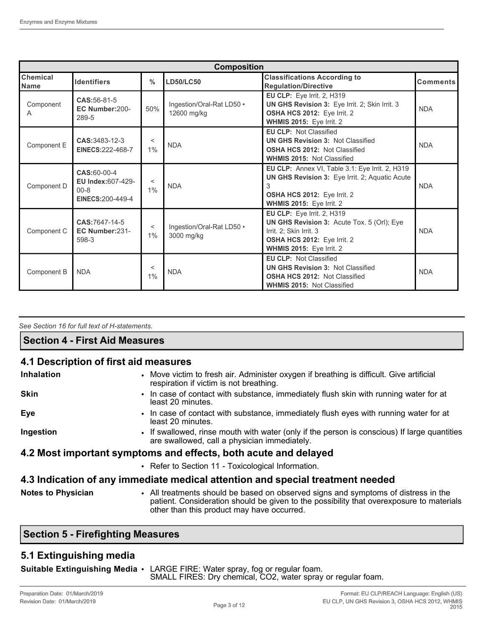| <b>Composition</b>      |                                                                          |                  |                                          |                                                                                                                                                                   |                 |
|-------------------------|--------------------------------------------------------------------------|------------------|------------------------------------------|-------------------------------------------------------------------------------------------------------------------------------------------------------------------|-----------------|
| Chemical<br><b>Name</b> | <b>Identifiers</b>                                                       | $\frac{0}{0}$    | <b>LD50/LC50</b>                         | <b>Classifications According to</b><br><b>Regulation/Directive</b>                                                                                                | <b>Comments</b> |
| Component<br>A          | CAS: 56-81-5<br>EC Number:200-<br>289-5                                  | 50%              | Ingestion/Oral-Rat LD50 .<br>12600 mg/kg | EU CLP: Eye Irrit. 2, H319<br>UN GHS Revision 3: Eye Irrit. 2; Skin Irrit. 3<br>OSHA HCS 2012: Eye Irrit. 2<br>WHMIS 2015: Eye Irrit. 2                           | <b>NDA</b>      |
| Component E             | CAS: 3483-12-3<br><b>EINECS:222-468-7</b>                                | <<br>1%          | <b>NDA</b>                               | <b>EU CLP: Not Classified</b><br><b>UN GHS Revision 3: Not Classified</b><br>OSHA HCS 2012: Not Classified<br><b>WHMIS 2015: Not Classified</b>                   | <b>NDA</b>      |
| Component D             | CAS:60-00-4<br><b>EU Index:607-429-</b><br>$00 - 8$<br>EINECS: 200-449-4 | $\,<\,$<br>$1\%$ | <b>NDA</b>                               | EU CLP: Annex VI, Table 3.1: Eye Irrit. 2, H319<br>UN GHS Revision 3: Eye Irrit. 2; Aquatic Acute<br>3<br>OSHA HCS 2012: Eye Irrit. 2<br>WHMIS 2015: Eye Irrit. 2 | <b>NDA</b>      |
| Component C             | CAS:7647-14-5<br>EC Number:231-<br>598-3                                 | $\,<\,$<br>$1\%$ | Ingestion/Oral-Rat LD50 .<br>3000 mg/kg  | EU CLP: Eye Irrit. 2, H319<br>UN GHS Revision 3: Acute Tox. 5 (Orl); Eye<br>Irrit. 2; Skin Irrit. 3<br>OSHA HCS 2012: Eye Irrit. 2<br>WHMIS 2015: Eye Irrit. 2    | <b>NDA</b>      |
| Component B             | <b>NDA</b>                                                               | $\,<\,$<br>$1\%$ | <b>NDA</b>                               | <b>EU CLP: Not Classified</b><br><b>UN GHS Revision 3: Not Classified</b><br><b>OSHA HCS 2012: Not Classified</b><br><b>WHMIS 2015: Not Classified</b>            | <b>NDA</b>      |

*See Section 16 for full text of H-statements.* 

## **Section 4 - First Aid Measures**

## **4.1 Description of first aid measures**

| <b>Inhalation</b>         | • Move victim to fresh air. Administer oxygen if breathing is difficult. Give artificial<br>respiration if victim is not breathing.                                                                                          |
|---------------------------|------------------------------------------------------------------------------------------------------------------------------------------------------------------------------------------------------------------------------|
| <b>Skin</b>               | In case of contact with substance, immediately flush skin with running water for at<br>$\bullet$<br>least 20 minutes.                                                                                                        |
| Eye                       | • In case of contact with substance, immediately flush eyes with running water for at<br>least 20 minutes.                                                                                                                   |
| Ingestion                 | • If swallowed, rinse mouth with water (only if the person is conscious) If large quantities<br>are swallowed, call a physician immediately.                                                                                 |
|                           | 4.2 Most important symptoms and effects, both acute and delayed                                                                                                                                                              |
|                           | • Refer to Section 11 - Toxicological Information.                                                                                                                                                                           |
|                           | 4.3 Indication of any immediate medical attention and special treatment needed                                                                                                                                               |
| <b>Notes to Physician</b> | • All treatments should be based on observed signs and symptoms of distress in the<br>patient. Consideration should be given to the possibility that overexposure to materials<br>other than this product may have occurred. |

## **Section 5 - Firefighting Measures**

## **5.1 Extinguishing media**

| Suitable Extinguishing Media • LARGE FIRE: Water spray, fog or regular foam.<br>SMALL FIRES: Dry chemical, CO2, water spray or regular foam. |
|----------------------------------------------------------------------------------------------------------------------------------------------|
|                                                                                                                                              |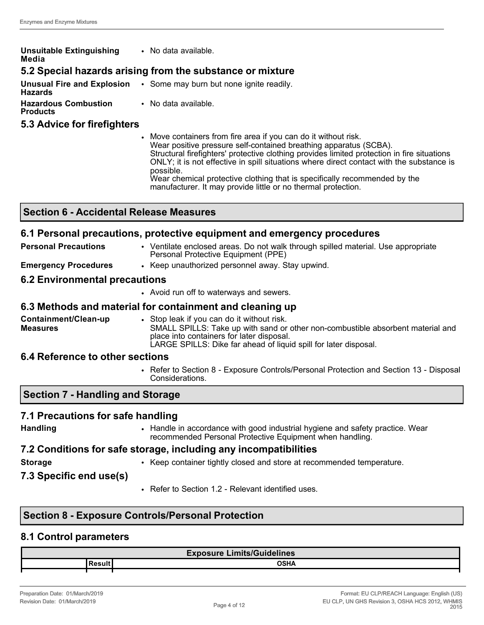| <b>Unsuitable Extinguishing</b><br>Media       | • No data available.                                                       |
|------------------------------------------------|----------------------------------------------------------------------------|
|                                                | 5.2 Special hazards arising from the substance or mixture                  |
| <b>Hazards</b>                                 | <b>Unusual Fire and Explosion</b> . Some may burn but none ignite readily. |
| <b>Hazardous Combustion</b><br><b>Products</b> | • No data available.                                                       |

#### **5.3 Advice for firefighters**

• Move containers from fire area if you can do it without risk. Wear positive pressure self-contained breathing apparatus (SCBA). Structural firefighters' protective clothing provides limited protection in fire situations ONLY; it is not effective in spill situations where direct contact with the substance is possible. Wear chemical protective clothing that is specifically recommended by the manufacturer. It may provide little or no thermal protection.

| <b>Section 6 - Accidental Release Measures</b> |  |
|------------------------------------------------|--|
|------------------------------------------------|--|

## **6.1 Personal precautions, protective equipment and emergency procedures**

- **Personal Precautions ••** Ventilate enclosed areas. Do not walk through spilled material. Use appropriate Personal Protective Equipment (PPE)
	- **Emergency Procedures** Keep unauthorized personnel away. Stay upwind.

## **6.2 Environmental precautions**

• Avoid run off to waterways and sewers.

#### **6.3 Methods and material for containment and cleaning up**

**Containment/Clean-up Measures** • Stop leak if you can do it without risk. SMALL SPILLS: Take up with sand or other non-combustible absorbent material and place into containers for later disposal. LARGE SPILLS: Dike far ahead of liquid spill for later disposal.

#### **6.4 Reference to other sections**

• Refer to Section 8 - Exposure Controls/Personal Protection and Section 13 - Disposal Considerations.

## **Section 7 - Handling and Storage**

## **7.1 Precautions for safe handling**

| <b>Handling</b> |
|-----------------|
|-----------------|

• Handle in accordance with good industrial hygiene and safety practice. Wear recommended Personal Protective Equipment when handling.

# **7.2 Conditions for safe storage, including any incompatibilities**

- **Storage** Keep container tightly closed and store at recommended temperature.
- **7.3 Specific end use(s)**
- Refer to Section 1.2 Relevant identified uses.

## **Section 8 - Exposure Controls/Personal Protection**

#### **8.1 Control parameters**

| <b>Exposure Limits/Guidelines</b> |             |  |
|-----------------------------------|-------------|--|
|                                   | <b>OSHA</b> |  |
|                                   |             |  |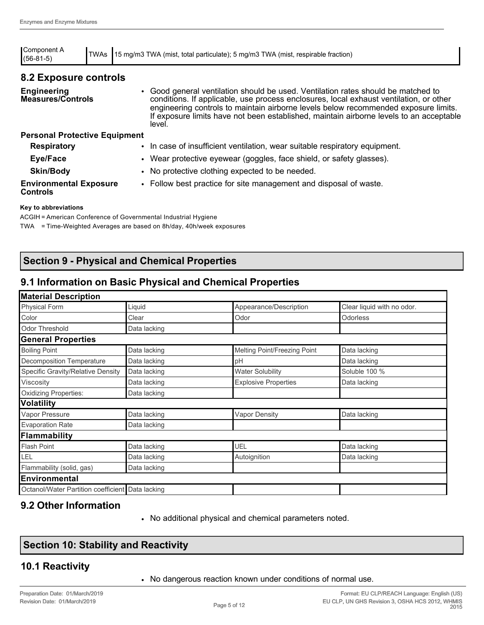| Component A<br>$(56-81-5)$                       | TWAs | 15 mg/m3 TWA (mist, total particulate); 5 mg/m3 TWA (mist, respirable fraction)                                                                                                                                                                                                                                                                                         |
|--------------------------------------------------|------|-------------------------------------------------------------------------------------------------------------------------------------------------------------------------------------------------------------------------------------------------------------------------------------------------------------------------------------------------------------------------|
| 8.2 Exposure controls                            |      |                                                                                                                                                                                                                                                                                                                                                                         |
| <b>Engineering</b><br><b>Measures/Controls</b>   |      | • Good general ventilation should be used. Ventilation rates should be matched to<br>conditions. If applicable, use process enclosures, local exhaust ventilation, or other<br>engineering controls to maintain airborne levels below recommended exposure limits.<br>If exposure limits have not been established, maintain airborne levels to an acceptable<br>level. |
| <b>Personal Protective Equipment</b>             |      |                                                                                                                                                                                                                                                                                                                                                                         |
| <b>Respiratory</b>                               |      | • In case of insufficient ventilation, wear suitable respiratory equipment.                                                                                                                                                                                                                                                                                             |
| Eye/Face                                         |      | • Wear protective eyewear (goggles, face shield, or safety glasses).                                                                                                                                                                                                                                                                                                    |
| <b>Skin/Body</b>                                 |      | • No protective clothing expected to be needed.                                                                                                                                                                                                                                                                                                                         |
| <b>Environmental Exposure</b><br><b>Controls</b> |      | • Follow best practice for site management and disposal of waste.                                                                                                                                                                                                                                                                                                       |

#### **Key to abbreviations**

ACGIH = American Conference of Governmental Industrial Hygiene TWA = Time-Weighted Averages are based on 8h/day, 40h/week exposures

## **Section 9 - Physical and Chemical Properties**

### **9.1 Information on Basic Physical and Chemical Properties**

| <b>Material Description</b>                      |              |                              |                            |
|--------------------------------------------------|--------------|------------------------------|----------------------------|
| Physical Form                                    | Liquid       | Appearance/Description       | Clear liquid with no odor. |
| Color                                            | Clear        | Odor                         | <b>Odorless</b>            |
| <b>Odor Threshold</b>                            | Data lacking |                              |                            |
| <b>General Properties</b>                        |              |                              |                            |
| <b>Boiling Point</b>                             | Data lacking | Melting Point/Freezing Point | Data lacking               |
| Decomposition Temperature                        | Data lacking | pH                           | Data lacking               |
| Specific Gravity/Relative Density                | Data lacking | <b>Water Solubility</b>      | Soluble 100 %              |
| Viscosity                                        | Data lacking | <b>Explosive Properties</b>  | Data lacking               |
| <b>Oxidizing Properties:</b>                     | Data lacking |                              |                            |
| <b>Volatility</b>                                |              |                              |                            |
| Vapor Pressure                                   | Data lacking | <b>Vapor Density</b>         | Data lacking               |
| <b>Evaporation Rate</b>                          | Data lacking |                              |                            |
| Flammability                                     |              |                              |                            |
| <b>Flash Point</b>                               | Data lacking | UEL                          | Data lacking               |
| LEL                                              | Data lacking | Autoignition                 | Data lacking               |
| Flammability (solid, gas)                        | Data lacking |                              |                            |
| <b>Environmental</b>                             |              |                              |                            |
| Octanol/Water Partition coefficient Data lacking |              |                              |                            |

### **9.2 Other Information**

• No additional physical and chemical parameters noted.

## **Section 10: Stability and Reactivity**

### **10.1 Reactivity**

• No dangerous reaction known under conditions of normal use.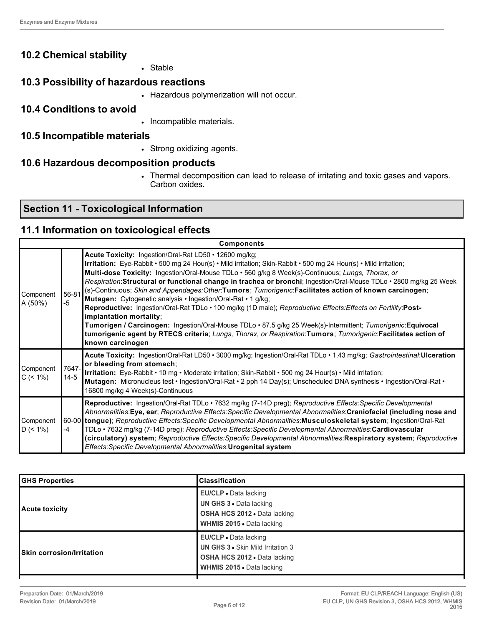## **10.2 Chemical stability**

• Stable

### **10.3 Possibility of hazardous reactions**

• Hazardous polymerization will not occur.

#### **10.4 Conditions to avoid**

• Incompatible materials.

#### **10.5 Incompatible materials**

• Strong oxidizing agents.

### **10.6 Hazardous decomposition products**

• Thermal decomposition can lead to release of irritating and toxic gases and vapors. Carbon oxides.

# **Section 11 - Toxicological Information**

#### **11.1 Information on toxicological effects**

| <b>Components</b>          |                 |                                                                                                                                                                                                                                                                                                                                                                                                                                                                                                                                                                                                                                                                                                                                                                                                                                                                                                                                                                                   |
|----------------------------|-----------------|-----------------------------------------------------------------------------------------------------------------------------------------------------------------------------------------------------------------------------------------------------------------------------------------------------------------------------------------------------------------------------------------------------------------------------------------------------------------------------------------------------------------------------------------------------------------------------------------------------------------------------------------------------------------------------------------------------------------------------------------------------------------------------------------------------------------------------------------------------------------------------------------------------------------------------------------------------------------------------------|
| Component<br>A (50%)       | 56-81<br>-5     | Acute Toxicity: Ingestion/Oral-Rat LD50 • 12600 mg/kg;<br>Irritation: Eye-Rabbit • 500 mg 24 Hour(s) • Mild irritation; Skin-Rabbit • 500 mg 24 Hour(s) • Mild irritation;<br>Multi-dose Toxicity: Ingestion/Oral-Mouse TDLo · 560 g/kg 8 Week(s)-Continuous; Lungs, Thorax, or<br>Respiration:Structural or functional change in trachea or bronchi; Ingestion/Oral-Mouse TDLo · 2800 mg/kg 25 Week<br>(s)-Continuous; Skin and Appendages: Other: Tumors; Tumorigenic: Facilitates action of known carcinogen;<br>Mutagen: Cytogenetic analysis · Ingestion/Oral-Rat · 1 g/kg;<br>Reproductive: Ingestion/Oral-Rat TDLo · 100 mg/kg (1D male); Reproductive Effects: Effects on Fertility: Post-<br>implantation mortality:<br>Tumorigen / Carcinogen: Ingestion/Oral-Mouse TDLo · 87.5 g/kg 25 Week(s)-Intermittent; Tumorigenic:Equivocal<br>tumorigenic agent by RTECS criteria; Lungs, Thorax, or Respiration:Tumors; Tumorigenic:Facilitates action of<br>known carcinogen |
| Component<br>$C \le 1\%)$  | 7647-<br>$14-5$ | Acute Toxicity: Ingestion/Oral-Rat LD50 • 3000 mg/kg; Ingestion/Oral-Rat TDLo • 1.43 mg/kg; Gastrointestinal:Ulceration<br>or bleeding from stomach;<br>Irritation: Eye-Rabbit • 10 mg • Moderate irritation; Skin-Rabbit • 500 mg 24 Hour(s) • Mild irritation;<br>Mutagen: Micronucleus test • Ingestion/Oral-Rat • 2 pph 14 Day(s); Unscheduled DNA synthesis • Ingestion/Oral-Rat •<br>16800 mg/kg 4 Week(s)-Continuous                                                                                                                                                                                                                                                                                                                                                                                                                                                                                                                                                       |
| Component<br>$D \leq 1\%)$ | -4              | Reproductive: Ingestion/Oral-Rat TDLo · 7632 mg/kg (7-14D preg); Reproductive Effects: Specific Developmental<br>Abnormalities:Eye, ear; Reproductive Effects:Specific Developmental Abnormalities:Craniofacial (including nose and<br>60-00 tongue); Reproductive Effects: Specific Developmental Abnormalities: Musculoskeletal system; Ingestion/Oral-Rat<br>TDLo • 7632 mg/kg (7-14D preg); Reproductive Effects: Specific Developmental Abnormalities: Cardiovascular<br>(circulatory) system; Reproductive Effects: Specific Developmental Abnormalities: Respiratory system; Reproductive<br>Effects: Specific Developmental Abnormalities: Urogenital system                                                                                                                                                                                                                                                                                                              |

| <b>GHS Properties</b>            | <b>Classification</b>                                                                                                                               |
|----------------------------------|-----------------------------------------------------------------------------------------------------------------------------------------------------|
| Acute toxicity                   | EU/CLP . Data lacking<br><b>UN GHS 3 . Data lacking</b><br><b>OSHA HCS 2012 • Data lacking</b><br><b>WHMIS 2015</b> • Data lacking                  |
| <b>Skin corrosion/Irritation</b> | <b>EU/CLP</b> • Data lacking<br><b>UN GHS 3 • Skin Mild Irritation 3</b><br><b>OSHA HCS 2012 • Data lacking</b><br><b>WHMIS 2015 • Data lacking</b> |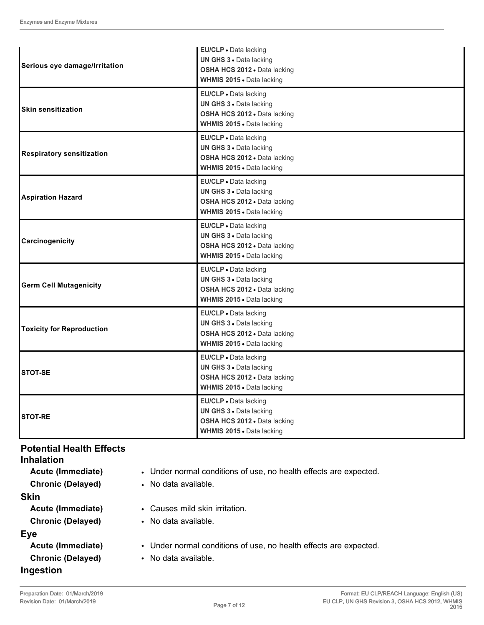|                                  | EU/CLP · Data lacking                                     |
|----------------------------------|-----------------------------------------------------------|
| Serious eye damage/Irritation    | UN GHS 3 · Data lacking<br>OSHA HCS 2012 . Data lacking   |
|                                  | WHMIS 2015 . Data lacking                                 |
|                                  | EU/CLP . Data lacking                                     |
|                                  | UN GHS 3 · Data lacking                                   |
| <b>Skin sensitization</b>        | OSHA HCS 2012 . Data lacking                              |
|                                  | <b>WHMIS 2015 •</b> Data lacking                          |
|                                  | EU/CLP · Data lacking                                     |
| <b>Respiratory sensitization</b> | UN GHS 3 . Data lacking                                   |
|                                  | OSHA HCS 2012 . Data lacking                              |
|                                  | WHMIS 2015 . Data lacking                                 |
|                                  | EU/CLP · Data lacking                                     |
| <b>Aspiration Hazard</b>         | UN GHS 3 · Data lacking                                   |
|                                  | OSHA HCS 2012 . Data lacking                              |
|                                  | WHMIS 2015 . Data lacking                                 |
|                                  | EU/CLP - Data lacking                                     |
| Carcinogenicity                  | UN GHS 3 . Data lacking                                   |
|                                  | OSHA HCS 2012 . Data lacking                              |
|                                  | WHMIS 2015 . Data lacking                                 |
|                                  | EU/CLP · Data lacking                                     |
| <b>Germ Cell Mutagenicity</b>    | <b>UN GHS 3 • Data lacking</b>                            |
|                                  | OSHA HCS 2012 . Data lacking                              |
|                                  | WHMIS 2015 . Data lacking                                 |
|                                  | EU/CLP · Data lacking                                     |
| <b>Toxicity for Reproduction</b> | UN GHS 3 . Data lacking                                   |
|                                  | OSHA HCS 2012 . Data lacking<br>WHMIS 2015 . Data lacking |
|                                  |                                                           |
|                                  | EU/CLP . Data lacking<br>UN GHS 3 . Data lacking          |
| STOT-SE                          | OSHA HCS 2012 . Data lacking                              |
|                                  | WHMIS 2015 . Data lacking                                 |
|                                  | EU/CLP · Data lacking                                     |
|                                  | UN GHS 3 · Data lacking                                   |
| <b>STOT-RE</b>                   | <b>OSHA HCS 2012 •</b> Data lacking                       |
|                                  | WHMIS 2015 . Data lacking                                 |

# **Potential Health Effects**

| <b>Inhalation</b>        |                                                                   |
|--------------------------|-------------------------------------------------------------------|
| Acute (Immediate)        | • Under normal conditions of use, no health effects are expected. |
| <b>Chronic (Delayed)</b> | • No data available.                                              |
| <b>Skin</b>              |                                                                   |
| Acute (Immediate)        | • Causes mild skin irritation.                                    |
| <b>Chronic (Delayed)</b> | • No data available.                                              |
| Eye                      |                                                                   |
| Acute (Immediate)        | • Under normal conditions of use, no health effects are expected. |
| <b>Chronic (Delayed)</b> | • No data available.                                              |
| Ingestion                |                                                                   |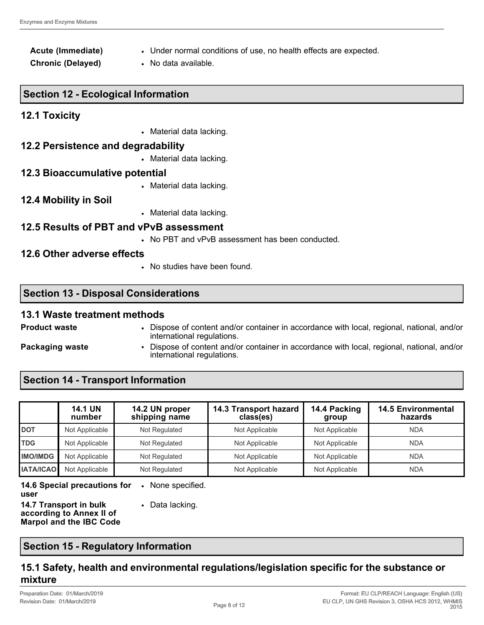#### **Acute (Immediate)** • Under normal conditions of use, no health effects are expected.

**Chronic (Delayed)** • No data available.

## **Section 12 - Ecological Information**

## **12.1 Toxicity**

• Material data lacking.

#### **12.2 Persistence and degradability**

• Material data lacking.

#### **12.3 Bioaccumulative potential**

• Material data lacking.

#### **12.4 Mobility in Soil**

• Material data lacking.

#### **12.5 Results of PBT and vPvB assessment**

• No PBT and vPvB assessment has been conducted.

## **12.6 Other adverse effects**

• No studies have been found.

#### **Section 13 - Disposal Considerations**

#### **13.1 Waste treatment methods**

- **Product waste** Dispose of content and/or container in accordance with local, regional, national, and/or international regulations.
- 
- 
- **Packaging waste** Dispose of content and/or container in accordance with local, regional, national, and/or international regulations.

# **Section 14 - Transport Information**

|                  | <b>14.1 UN</b><br>number | 14.2 UN proper<br>shipping name | 14.3 Transport hazard<br>class(es) | 14.4 Packing<br>group | <b>14.5 Environmental</b><br>hazards |
|------------------|--------------------------|---------------------------------|------------------------------------|-----------------------|--------------------------------------|
| <b>DOT</b>       | Not Applicable           | Not Regulated                   | Not Applicable                     | Not Applicable        | <b>NDA</b>                           |
| <b>TDG</b>       | Not Applicable           | Not Regulated                   | Not Applicable                     | Not Applicable        | <b>NDA</b>                           |
| <b>IMO/IMDG</b>  | Not Applicable           | Not Regulated                   | Not Applicable                     | Not Applicable        | <b>NDA</b>                           |
| <b>IATA/ICAO</b> | Not Applicable           | Not Regulated                   | Not Applicable                     | Not Applicable        | <b>NDA</b>                           |

**14.6 Special precautions for**  • None specified.

**user 14.7 Transport in bulk according to Annex II of Marpol and the IBC Code** • Data lacking.

## **Section 15 - Regulatory Information**

## **15.1 Safety, health and environmental regulations/legislation specific for the substance or mixture**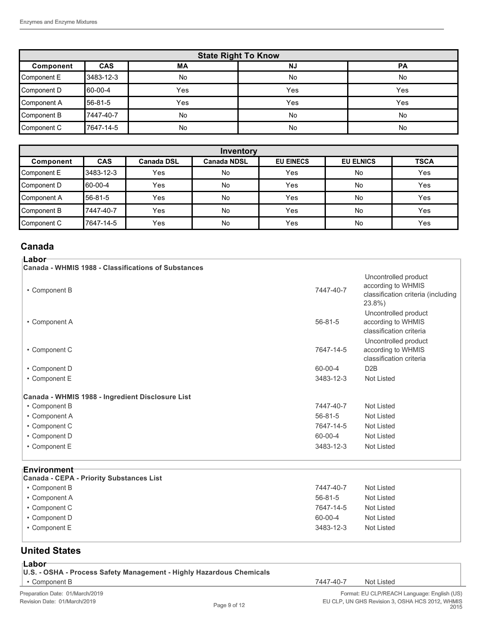| <b>State Right To Know</b>                              |            |     |           |     |  |  |  |
|---------------------------------------------------------|------------|-----|-----------|-----|--|--|--|
| <b>CAS</b><br><b>NJ</b><br>МA<br><b>PA</b><br>Component |            |     |           |     |  |  |  |
| Component E                                             | 3483-12-3  | No  | No        | No  |  |  |  |
| Component D                                             | 60-00-4    | Yes | Yes       | Yes |  |  |  |
| Component A                                             | 56-81-5    | Yes | Yes       | Yes |  |  |  |
| Component B                                             | 17447-40-7 | No  | <b>No</b> | No  |  |  |  |
| Component C                                             | 7647-14-5  | No  | <b>No</b> | No  |  |  |  |

| Inventory   |                                                                                                              |     |    |     |           |     |  |  |
|-------------|--------------------------------------------------------------------------------------------------------------|-----|----|-----|-----------|-----|--|--|
| Component   | <b>EU ELNICS</b><br><b>CAS</b><br><b>TSCA</b><br><b>Canada NDSL</b><br><b>EU EINECS</b><br><b>Canada DSL</b> |     |    |     |           |     |  |  |
| Component E | 3483-12-3                                                                                                    | Yes | No | Yes | <b>No</b> | Yes |  |  |
| Component D | 160-00-4                                                                                                     | Yes | No | Yes | <b>No</b> | Yes |  |  |
| Component A | 56-81-5                                                                                                      | Yes | No | Yes | <b>No</b> | Yes |  |  |
| Component B | 7447-40-7                                                                                                    | Yes | No | Yes | <b>No</b> | Yes |  |  |
| Component C | 17647-14-5                                                                                                   | Yes | No | Yes | No        | Yes |  |  |

# **Canada**

| ⊺Labor⊤<br>Canada - WHMIS 1988 - Classifications of Substances         |               |                                                                                              |
|------------------------------------------------------------------------|---------------|----------------------------------------------------------------------------------------------|
| • Component B                                                          | 7447-40-7     | Uncontrolled product<br>according to WHMIS<br>classification criteria (including<br>$23.8\%$ |
| • Component A                                                          | $56 - 81 - 5$ | Uncontrolled product<br>according to WHMIS<br>classification criteria                        |
| • Component C                                                          | 7647-14-5     | Uncontrolled product<br>according to WHMIS<br>classification criteria                        |
| • Component D                                                          | 60-00-4       | D <sub>2</sub> B                                                                             |
| • Component E                                                          | 3483-12-3     | <b>Not Listed</b>                                                                            |
| Canada - WHMIS 1988 - Ingredient Disclosure List                       |               |                                                                                              |
| • Component B                                                          | 7447-40-7     | Not Listed                                                                                   |
| • Component A                                                          | $56 - 81 - 5$ | <b>Not Listed</b>                                                                            |
| • Component C                                                          | 7647-14-5     | <b>Not Listed</b>                                                                            |
| • Component D                                                          | $60 - 00 - 4$ | Not Listed                                                                                   |
| • Component E                                                          | 3483-12-3     | <b>Not Listed</b>                                                                            |
| <b>Environment</b> ⊤                                                   |               |                                                                                              |
| <b>Canada - CEPA - Priority Substances List</b><br>$\cdot$ Component R | 7447-40-7     | Not Listed                                                                                   |

| • Component B | 7447-40-7     | Not Listed |
|---------------|---------------|------------|
| • Component A | $56 - 81 - 5$ | Not Listed |
| • Component C | 7647-14-5     | Not Listed |
| • Component D | 60-00-4       | Not Listed |
| • Component E | 3483-12-3     | Not Listed |
|               |               |            |

# **United States**

| . .<br>×<br>۰,<br>۰. |  |
|----------------------|--|
|----------------------|--|

| U.S. - OSHA - Process Safety Management - Highly Hazardous Chemicals |           |                    |
|----------------------------------------------------------------------|-----------|--------------------|
| $\cdot$ Component B                                                  | 7447-40-7 | <b>Not Listed</b>  |
| Preparation Date: 01/March/2019                                      |           | Format: EU CLP/REA |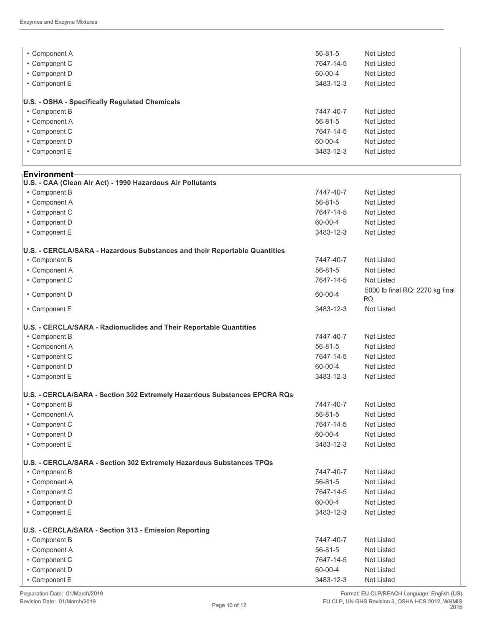| • Component A<br>• Component C<br>• Component D<br>• Component E | $56 - 81 - 5$<br>Not Listed<br>7647-14-5<br>Not Listed<br>60-00-4<br>Not Listed<br>3483-12-3<br>Not Listed |
|------------------------------------------------------------------|------------------------------------------------------------------------------------------------------------|
| U.S. - OSHA - Specifically Regulated Chemicals                   |                                                                                                            |
| • Component B                                                    | 7447-40-7<br>Not Listed                                                                                    |
| • Component A                                                    | $56 - 81 - 5$<br>Not Listed                                                                                |
| • Component C                                                    | 7647-14-5<br>Not Listed                                                                                    |
| • Component D                                                    | 60-00-4<br>Not Listed                                                                                      |
| • Component E                                                    | 3483-12-3<br>Not Listed                                                                                    |

#### **Environment U.S. - CAA (Clean Air Act) - 1990 Hazardous Air Pollutants** • Component B 7447-40-7 Not Listed • Component A 56-81-5 Not Listed • Component C 7647-14-5 Not Listed • Component D 60-00-4 Not Listed • Component E 3483-12-3 Not Listed **U.S. - CERCLA/SARA - Hazardous Substances and their Reportable Quantities** • Component B 7447-40-7 Not Listed • Component A 56-81-5 Not Listed • Component C 7647-14-5 Not Listed • Component D<br>
60-00-4 5000 lb final RQ; 2270 kg final<br>
FO RQ • Component E 3483-12-3 Not Listed **U.S. - CERCLA/SARA - Radionuclides and Their Reportable Quantities** • Component B 7447-40-7 Not Listed • Component A 56-81-5 Not Listed • Component C **7647-14-5** Not Listed • Component D 60-00-4 Not Listed • Component E 3483-12-3 Not Listed **U.S. - CERCLA/SARA - Section 302 Extremely Hazardous Substances EPCRA RQs** • Component B 7447-40-7 Not Listed • Component A 56-81-5 Not Listed • Component C 7647-14-5 Not Listed • Component D 60-00-4 Not Listed • Component E 3483-12-3 Not Listed **U.S. - CERCLA/SARA - Section 302 Extremely Hazardous Substances TPQs** • Component B 7447-40-7 Not Listed • Component A 56-81-5 Not Listed • Component C 7647-14-5 Not Listed • Component D 60-00-4 Not Listed • Component E 3483-12-3 Not Listed **U.S. - CERCLA/SARA - Section 313 - Emission Reporting** • Component B 7447-40-7 Not Listed • Component A 56-81-5 Not Listed • Component C 7647-14-5 Not Listed • Component D 60-00-4 Not Listed • Component E 3483-12-3 Not Listed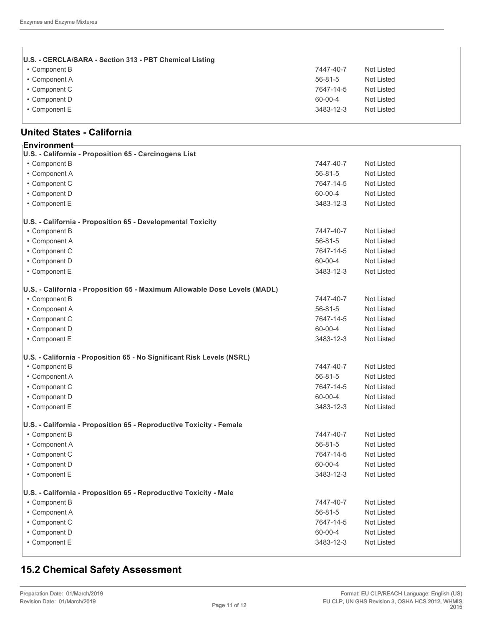$\begin{array}{c} \hline \end{array}$ 

| U.S. - CERCLA/SARA - Section 313 - PBT Chemical Listing |               |            |
|---------------------------------------------------------|---------------|------------|
| • Component B                                           | 7447-40-7     | Not Listed |
| • Component A                                           | $56 - 81 - 5$ | Not Listed |
| • Component C                                           | 7647-14-5     | Not Listed |
| • Component D                                           | 60-00-4       | Not Listed |
| • Component E                                           | 3483-12-3     | Not Listed |
|                                                         |               |            |

## **United States - California**

| <b>Environment</b> ⊦                                                      |               |                   |
|---------------------------------------------------------------------------|---------------|-------------------|
| U.S. - California - Proposition 65 - Carcinogens List                     |               |                   |
| • Component B                                                             | 7447-40-7     | <b>Not Listed</b> |
| • Component A                                                             | $56 - 81 - 5$ | <b>Not Listed</b> |
| • Component C                                                             | 7647-14-5     | <b>Not Listed</b> |
| • Component D                                                             | 60-00-4       | <b>Not Listed</b> |
| • Component E                                                             | 3483-12-3     | <b>Not Listed</b> |
| U.S. - California - Proposition 65 - Developmental Toxicity               |               |                   |
| • Component B                                                             | 7447-40-7     | <b>Not Listed</b> |
| • Component A                                                             | $56 - 81 - 5$ | <b>Not Listed</b> |
| • Component C                                                             | 7647-14-5     | <b>Not Listed</b> |
| • Component D                                                             | 60-00-4       | <b>Not Listed</b> |
| • Component E                                                             | 3483-12-3     | <b>Not Listed</b> |
| U.S. - California - Proposition 65 - Maximum Allowable Dose Levels (MADL) |               |                   |
| • Component B                                                             | 7447-40-7     | <b>Not Listed</b> |
| • Component A                                                             | $56 - 81 - 5$ | <b>Not Listed</b> |
| • Component C                                                             | 7647-14-5     | <b>Not Listed</b> |
| • Component D                                                             | 60-00-4       | <b>Not Listed</b> |
| • Component E                                                             | 3483-12-3     | <b>Not Listed</b> |
| U.S. - California - Proposition 65 - No Significant Risk Levels (NSRL)    |               |                   |
| • Component B                                                             | 7447-40-7     | <b>Not Listed</b> |
| • Component A                                                             | $56 - 81 - 5$ | <b>Not Listed</b> |
| • Component C                                                             | 7647-14-5     | <b>Not Listed</b> |
| • Component D                                                             | 60-00-4       | <b>Not Listed</b> |
| • Component E                                                             | 3483-12-3     | <b>Not Listed</b> |
| U.S. - California - Proposition 65 - Reproductive Toxicity - Female       |               |                   |
| • Component B                                                             | 7447-40-7     | <b>Not Listed</b> |
| • Component A                                                             | 56-81-5       | <b>Not Listed</b> |
| • Component C                                                             | 7647-14-5     | <b>Not Listed</b> |
| • Component D                                                             | 60-00-4       | <b>Not Listed</b> |
| • Component E                                                             | 3483-12-3     | <b>Not Listed</b> |
| U.S. - California - Proposition 65 - Reproductive Toxicity - Male         |               |                   |
| • Component B                                                             | 7447-40-7     | <b>Not Listed</b> |
| • Component A                                                             | $56 - 81 - 5$ | <b>Not Listed</b> |
| • Component C                                                             | 7647-14-5     | <b>Not Listed</b> |
| • Component D                                                             | 60-00-4       | <b>Not Listed</b> |
| • Component E                                                             | 3483-12-3     | <b>Not Listed</b> |

# **15.2 Chemical Safety Assessment**